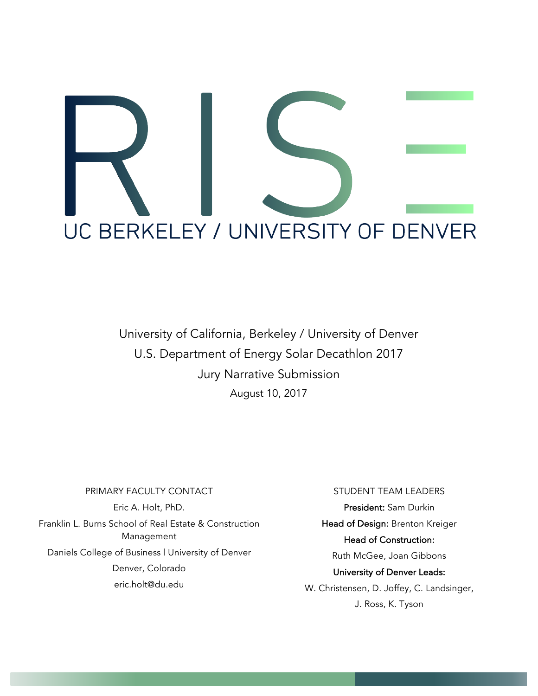

University of California, Berkeley / University of Denver U.S. Department of Energy Solar Decathlon 2017 Jury Narrative Submission August 10, 2017

# PRIMARY FACULTY CONTACT Eric A. Holt, PhD. Franklin L. Burns School of Real Estate & Construction Management Daniels College of Business | University of Denver Denver, Colorado eric.holt@du.edu

#### STUDENT TEAM LEADERS

President: Sam Durkin Head of Design: Brenton Kreiger Head of Construction: Ruth McGee, Joan Gibbons University of Denver Leads: W. Christensen, D. Joffey, C. Landsinger,

J. Ross, K. Tyson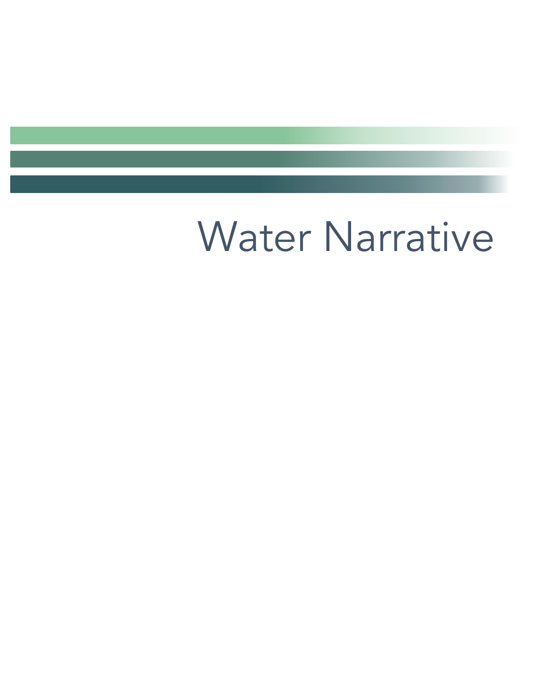# Water Narrative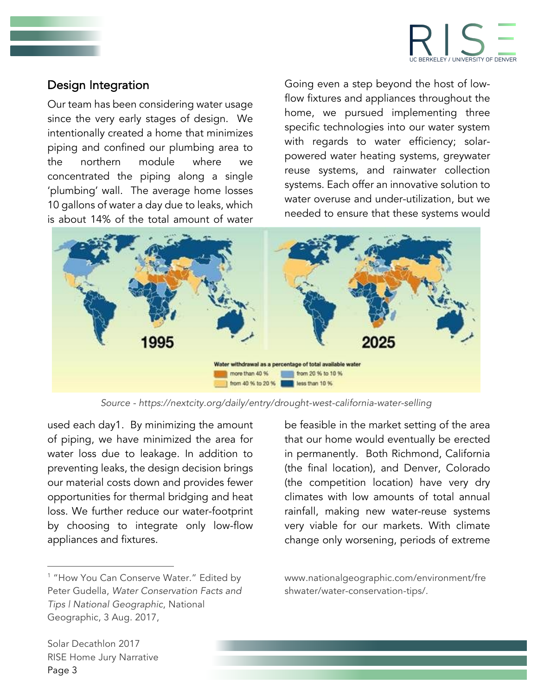

## Design Integration

Our team has been considering water usage since the very early stages of design. We intentionally created a home that minimizes piping and confined our plumbing area to the northern module where we concentrated the piping along a single 'plumbing' wall. The average home losses 10 gallons of water a day due to leaks, which is about 14% of the total amount of water

Going even a step beyond the host of lowflow fixtures and appliances throughout the home, we pursued implementing three specific technologies into our water system with regards to water efficiency; solarpowered water heating systems, greywater reuse systems, and rainwater collection systems. Each offer an innovative solution to water overuse and under-utilization, but we needed to ensure that these systems would



*Source - https://nextcity.org/daily/entry/drought-west-california-water-selling*

used each day1. By minimizing the amount of piping, we have minimized the area for water loss due to leakage. In addition to preventing leaks, the design decision brings our material costs down and provides fewer opportunities for thermal bridging and heat loss. We further reduce our water-footprint by choosing to integrate only low-flow appliances and fixtures.

<sup>1</sup> "How You Can Conserve Water." Edited by Peter Gudella, *Water Conservation Facts and Tips | National Geographic*, National Geographic, 3 Aug. 2017,

be feasible in the market setting of the area that our home would eventually be erected in permanently. Both Richmond, California (the final location), and Denver, Colorado (the competition location) have very dry climates with low amounts of total annual rainfall, making new water-reuse systems very viable for our markets. With climate change only worsening, periods of extreme

www.nationalgeographic.com/environment/fre shwater/water-conservation-tips/.

Solar Decathlon 2017 RISE Home Jury Narrative Page 3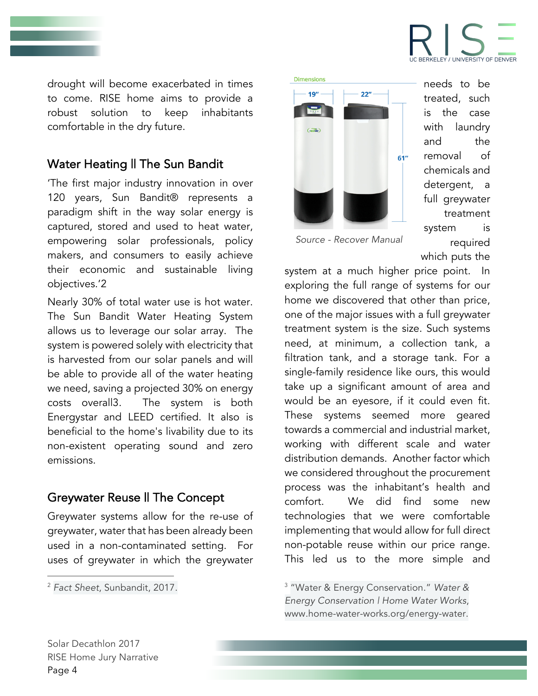

drought will become exacerbated in times to come. RISE home aims to provide a robust solution to keep inhabitants comfortable in the dry future.

# Water Heating II The Sun Bandit

'The first major industry innovation in over 120 years, Sun Bandit® represents a paradigm shift in the way solar energy is captured, stored and used to heat water, empowering solar professionals, policy makers, and consumers to easily achieve their economic and sustainable living objectives.'2

Nearly 30% of total water use is hot water. The Sun Bandit Water Heating System allows us to leverage our solar array. The system is powered solely with electricity that is harvested from our solar panels and will be able to provide all of the water heating we need, saving a projected 30% on energy costs overall3. The system is both Energystar and LEED certified. It also is beneficial to the home's livability due to its non-existent operating sound and zero emissions.

### Greywater Reuse || The Concept

Greywater systems allow for the re-use of greywater, water that has been already been used in a non-contaminated setting. For uses of greywater in which the greywater



needs to be treated, such is the case with laundry and the removal of chemicals and detergent, a full greywater treatment system is required which puts the

*Source - Recover Manual*

system at a much higher price point. In exploring the full range of systems for our home we discovered that other than price, one of the major issues with a full greywater treatment system is the size. Such systems need, at minimum, a collection tank, a filtration tank, and a storage tank. For a single-family residence like ours, this would take up a significant amount of area and would be an eyesore, if it could even fit. These systems seemed more geared towards a commercial and industrial market, working with different scale and water distribution demands. Another factor which we considered throughout the procurement process was the inhabitant's health and comfort. We did find some new technologies that we were comfortable implementing that would allow for full direct non-potable reuse within our price range. This led us to the more simple and

<sup>3</sup> "Water & Energy Conservation." *Water & Energy Conservation | Home Water Works*, www.home-water-works.org/energy-water.

Solar Decathlon 2017 RISE Home Jury Narrative Page 4

<sup>&</sup>lt;u> 1989 - Johann Stein, marwolaethau a bh</u> <sup>2</sup> *Fact Sheet*, Sunbandit, 2017.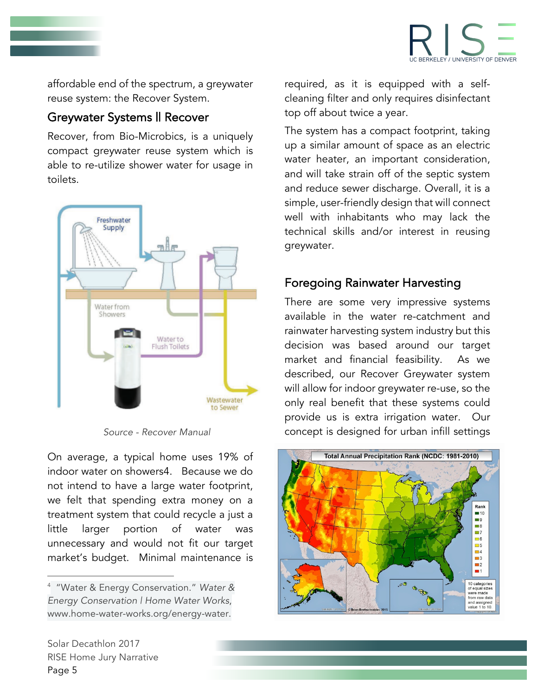

affordable end of the spectrum, a greywater reuse system: the Recover System.

### Greywater Systems || Recover

Recover, from Bio-Microbics, is a uniquely compact greywater reuse system which is able to re-utilize shower water for usage in toilets.



On average, a typical home uses 19% of indoor water on showers4. Because we do not intend to have a large water footprint, we felt that spending extra money on a treatment system that could recycle a just a little larger portion of water was unnecessary and would not fit our target market's budget. Minimal maintenance is

required, as it is equipped with a selfcleaning filter and only requires disinfectant top off about twice a year.

The system has a compact footprint, taking up a similar amount of space as an electric water heater, an important consideration, and will take strain off of the septic system and reduce sewer discharge. Overall, it is a simple, user-friendly design that will connect well with inhabitants who may lack the technical skills and/or interest in reusing greywater.

# Foregoing Rainwater Harvesting

There are some very impressive systems available in the water re-catchment and rainwater harvesting system industry but this decision was based around our target market and financial feasibility. As we described, our Recover Greywater system will allow for indoor greywater re-use, so the only real benefit that these systems could provide us is extra irrigation water. Our *Source - Recover Manual* concept is designed for urban infill settings



<u> 1989 - Johann Stein, marwolaethau a bh</u>

<sup>4</sup> "Water & Energy Conservation." *Water & Energy Conservation | Home Water Works*, www.home-water-works.org/energy-water.